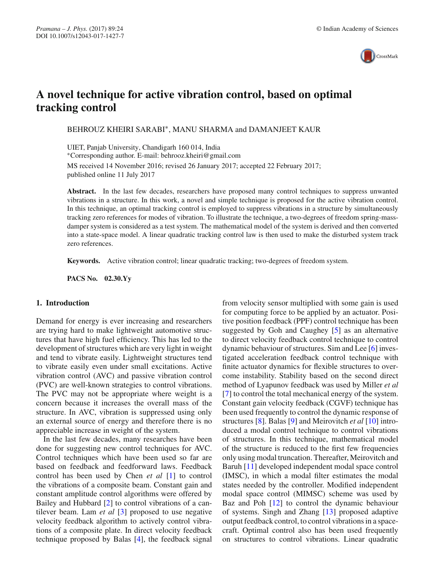

# **A novel technique for active vibration control, based on optimal tracking control**

BEHROUZ KHEIRI SARABI∗, MANU SHARMA and DAMANJEET KAUR

UIET, Panjab University, Chandigarh 160 014, India ∗Corresponding author. E-mail: behrooz.kheiri@gmail.com MS received 14 November 2016; revised 26 January 2017; accepted 22 February 2017;

published online 11 July 2017

**Abstract.** In the last few decades, researchers have proposed many control techniques to suppress unwanted vibrations in a structure. In this work, a novel and simple technique is proposed for the active vibration control. In this technique, an optimal tracking control is employed to suppress vibrations in a structure by simultaneously tracking zero references for modes of vibration. To illustrate the technique, a two-degrees of freedom spring-massdamper system is considered as a test system. The mathematical model of the system is derived and then converted into a state-space model. A linear quadratic tracking control law is then used to make the disturbed system track zero references.

**Keywords.** Active vibration control; linear quadratic tracking; two-degrees of freedom system.

**PACS No. 02.30.Yy**

## **1. Introduction**

Demand for energy is ever increasing and researchers are trying hard to make lightweight automotive structures that have high fuel efficiency. This has led to the development of structures which are very light in weight and tend to vibrate easily. Lightweight structures tend to vibrate easily even under small excitations. Active vibration control (AVC) and passive vibration control (PVC) are well-known strategies to control vibrations. The PVC may not be appropriate where weight is a concern because it increases the overall mass of the structure. In AVC, vibration is suppressed using only an external source of energy and therefore there is no appreciable increase in weight of the system.

In the last few decades, many researches have been done for suggesting new control techniques for AVC. Control techniques which have been used so far are based on feedback and feedforward laws. Feedback control has been used by Chen *et al* [1] to control the vibrations of a composite beam. Constant gain and constant amplitude control algorithms were offered by Bailey and Hubbard [2] to control vibrations of a cantilever beam. Lam *et al* [3] proposed to use negative velocity feedback algorithm to actively control vibrations of a composite plate. In direct velocity feedback technique proposed by Balas [4], the feedback signal from velocity sensor multiplied with some gain is used for computing force to be applied by an actuator. Positive position feedback (PPF) control technique has been suggested by Goh and Caughey [5] as an alternative to direct velocity feedback control technique to control dynamic behaviour of structures. Sim and Lee [6] investigated acceleration feedback control technique with finite actuator dynamics for flexible structures to overcome instability. Stability based on the second direct method of Lyapunov feedback was used by Miller *et al* [7] to control the total mechanical energy of the system. Constant gain velocity feedback (CGVF) technique has been used frequently to control the dynamic response of structures [8]. Balas [9] and Meirovitch *et al* [10] introduced a modal control technique to control vibrations of structures. In this technique, mathematical model of the structure is reduced to the first few frequencies only using modal truncation. Thereafter, Meirovitch and Baruh [11] developed independent modal space control (IMSC), in which a modal filter estimates the modal states needed by the controller. Modified independent modal space control (MIMSC) scheme was used by Baz and Poh [12] to control the dynamic behaviour of systems. Singh and Zhang [13] proposed adaptive output feedback control, to control vibrations in a spacecraft. Optimal control also has been used frequently on structures to control vibrations. Linear quadratic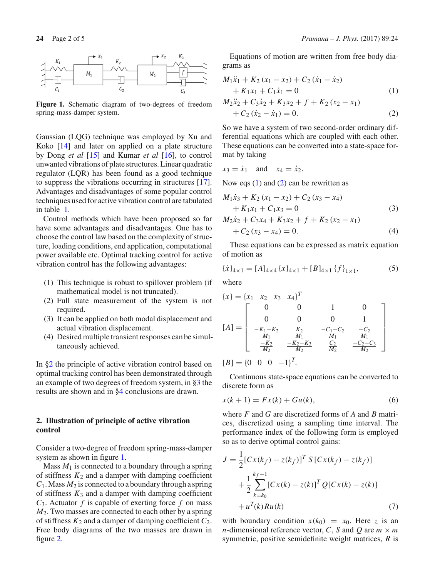

**Figure 1.** Schematic diagram of two-degrees of freedom spring-mass-damper system.

Gaussian (LQG) technique was employed by Xu and Koko [14] and later on applied on a plate structure by Dong *et al* [15] and Kumar *et al* [16], to control unwanted vibrations of plate structures. Linear quadratic regulator (LQR) has been found as a good technique to suppress the vibrations occurring in structures [17]. Advantages and disadvantages of some popular control techniques used for active vibration control are tabulated in table 1.

Control methods which have been proposed so far have some advantages and disadvantages. One has to choose the control law based on the complexity of structure, loading conditions, end application, computational power available etc. Optimal tracking control for active vibration control has the following advantages:

- (1) This technique is robust to spillover problem (if mathematical model is not truncated).
- (2) Full state measurement of the system is not required.
- (3) It can be applied on both modal displacement and actual vibration displacement.
- (4) Desired multiple transient responses can be simultaneously achieved.

In §2 the principle of active vibration control based on optimal tracking control has been demonstrated through an example of two degrees of freedom system, in §3 the results are shown and in §4 conclusions are drawn.

## **2. Illustration of principle of active vibration control**

Consider a two-degree of freedom spring-mass-damper system as shown in figure 1.

Mass  $M_1$  is connected to a boundary through a spring of stiffness  $K_2$  and a damper with damping coefficient  $C_1$ . Mass  $M_2$  is connected to a boundary through a spring of stiffness  $K_3$  and a damper with damping coefficient  $C_3$ . Actuator  $f$  is capable of exerting force  $f$  on mass *M*2. Two masses are connected to each other by a spring of stiffness *K*<sup>2</sup> and a damper of damping coefficient *C*2. Free body diagrams of the two masses are drawn in figure 2.

Equations of motion are written from free body diagrams as

$$
M_1\ddot{x}_1 + K_2 (x_1 - x_2) + C_2 (\dot{x}_1 - \dot{x}_2)
$$
  
+  $K_1x_1 + C_1\dot{x}_1 = 0$  (1)  

$$
M_2\ddot{x}_2 + C_3\dot{x}_2 + K_3x_2 + f + K_2 (x_2 - x_1)
$$

$$
+C_2(\dot{x}_2 - \dot{x}_1) = 0.
$$
 (2)

So we have a system of two second-order ordinary differential equations which are coupled with each other. These equations can be converted into a state-space format by taking

$$
x_3 = \dot{x}_1 \quad \text{and} \quad x_4 = \dot{x}_2.
$$

Now eqs  $(1)$  and  $(2)$  can be rewritten as

$$
M_1\dot{x}_3 + K_2(x_1 - x_2) + C_2(x_3 - x_4)
$$
  
+  $K_1x_1 + C_1x_3 = 0$  (3)

$$
M_2\dot{x}_2 + C_3x_4 + K_3x_2 + f + K_2(x_2 - x_1)
$$
  
+  $C_2(x_3 - x_4) = 0.$  (4)

These equations can be expressed as matrix equation of motion as

$$
\{\dot{x}\}_{4\times1} = [A]_{4\times4} \{x\}_{4\times1} + [B]_{4\times1} \{f\}_{1\times1},
$$
 (5)

where

$$
\{x\} = \{x_1 \quad x_2 \quad x_3 \quad x_4\}^T
$$
\n
$$
[A] = \begin{bmatrix}\n0 & 0 & 1 & 0 \\
0 & 0 & 0 & 1 \\
-\frac{K_1 - K_2}{M_1} & \frac{K_2}{M_1} & -\frac{C_1 - C_2}{M_1} & \frac{-C_2}{M_1} \\
\frac{-K_2}{M_2} & -\frac{K_2 - K_3}{M_2} & \frac{C_2}{M_2} & \frac{-C_2 - C_3}{M_2}\n\end{bmatrix}
$$
\n
$$
[B] = \{0 \quad 0 \quad 0 \quad -1\}^T.
$$

Continuous state-space equations can be converted to discrete form as

$$
x(k + 1) = Fx(k) + Gu(k),
$$
 (6)

where *F* and *G* are discretized forms of *A* and *B* matrices, discretized using a sampling time interval. The performance index of the following form is employed so as to derive optimal control gains:

$$
J = \frac{1}{2} [Cx(k_f) - z(k_f)]^T S [Cx(k_f) - z(k_f)]
$$
  
+ 
$$
\frac{1}{2} \sum_{k=k_0}^{k_f - 1} [Cx(k) - z(k)]^T Q [Cx(k) - z(k)]
$$
  
+ 
$$
u^T(k)Ru(k)
$$
 (7)

with boundary condition  $x(k_0) = x_0$ . Here *z* is an *n*-dimensional reference vector, *C*, *S* and *Q* are  $m \times m$ symmetric, positive semidefinite weight matrices, *R* is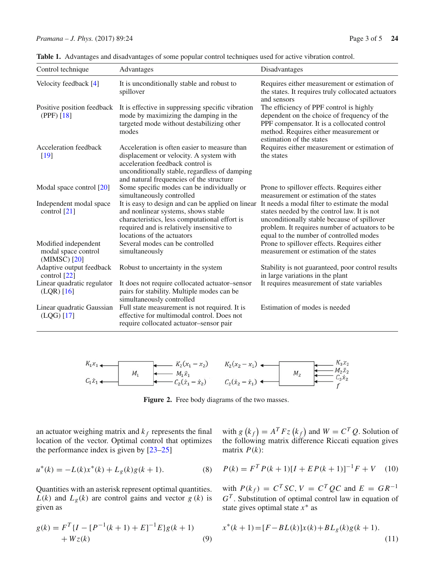| Control technique                                           | Advantages                                                                                                                                                                                                                                                         | Disadvantages                                                                                                                                                                                               |
|-------------------------------------------------------------|--------------------------------------------------------------------------------------------------------------------------------------------------------------------------------------------------------------------------------------------------------------------|-------------------------------------------------------------------------------------------------------------------------------------------------------------------------------------------------------------|
| Velocity feedback [4]                                       | It is unconditionally stable and robust to<br>spillover                                                                                                                                                                                                            | Requires either measurement or estimation of<br>the states. It requires truly collocated actuators<br>and sensors                                                                                           |
| Positive position feedback<br>(PPF) [18]                    | It is effective in suppressing specific vibration<br>mode by maximizing the damping in the<br>targeted mode without destabilizing other<br>modes                                                                                                                   | The efficiency of PPF control is highly<br>dependent on the choice of frequency of the<br>PPF compensator. It is a collocated control<br>method. Requires either measurement or<br>estimation of the states |
| Acceleration feedback<br>[19]                               | Acceleration is often easier to measure than<br>displacement or velocity. A system with<br>acceleration feedback control is<br>unconditionally stable, regardless of damping<br>and natural frequencies of the structure                                           | Requires either measurement or estimation of<br>the states                                                                                                                                                  |
| Modal space control [20]                                    | Some specific modes can be individually or<br>simultaneously controlled                                                                                                                                                                                            | Prone to spillover effects. Requires either<br>measurement or estimation of the states                                                                                                                      |
| Independent modal space<br>control $[21]$                   | It is easy to design and can be applied on linear It needs a modal filter to estimate the modal<br>and nonlinear systems, shows stable<br>characteristics, less computational effort is<br>required and is relatively insensitive to<br>locations of the actuators | states needed by the control law. It is not<br>unconditionally stable because of spillover<br>problem. It requires number of actuators to be<br>equal to the number of controlled modes                     |
| Modified independent<br>modal space control<br>(MIMSC) [20] | Several modes can be controlled<br>simultaneously                                                                                                                                                                                                                  | Prone to spillover effects. Requires either<br>measurement or estimation of the states                                                                                                                      |
| Adaptive output feedback<br>control [22]                    | Robust to uncertainty in the system                                                                                                                                                                                                                                | Stability is not guaranteed, poor control results<br>in large variations in the plant                                                                                                                       |
| Linear quadratic regulator<br>$(LQR)$ [16]                  | It does not require collocated actuator-sensor<br>pairs for stability. Multiple modes can be<br>simultaneously controlled                                                                                                                                          | It requires measurement of state variables                                                                                                                                                                  |
| Linear quadratic Gaussian<br>$(LQG)$ [17]                   | Full state measurement is not required. It is<br>effective for multimodal control. Does not<br>require collocated actuator-sensor pair                                                                                                                             | Estimation of modes is needed                                                                                                                                                                               |

**Table 1.** Advantages and disadvantages of some popular control techniques used for active vibration control.



Figure 2. Free body diagrams of the two masses.

an actuator weighing matrix and  $k_f$  represents the final location of the vector. Optimal control that optimizes the performance index is given by [23–25]

$$
u^*(k) = -L(k)x^*(k) + L_g(k)g(k+1).
$$
 (8)

Quantities with an asterisk represent optimal quantities.  $L(k)$  and  $L_g(k)$  are control gains and vector  $g(k)$  is given as

$$
g(k) = FT {I - [P-1(k + 1) + E]-1 E}g(k + 1)
$$
  
+ Wz(k) (9)

with  $g(k_f) = A^T Fz(k_f)$  and  $W = C^T Q$ . Solution of the following matrix difference Riccati equation gives matrix  $P(k)$ :

$$
P(k) = FT P(k+1)[I + E P(k+1)]-1 F + V
$$
 (10)

with  $P(k_f) = C^T SC$ ,  $V = C^T QC$  and  $E = GR^{-1}$ *G<sup>T</sup>* . Substitution of optimal control law in equation of state gives optimal state *x*∗ as

$$
x^*(k+1) = [F - BL(k)]x(k) + BL_g(k)g(k+1).
$$
\n(11)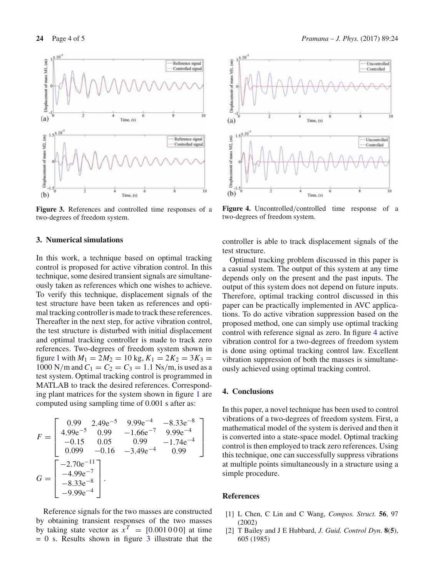

**Figure 3.** References and controlled time responses of a two-degrees of freedom system.

## **3. Numerical simulations**

In this work, a technique based on optimal tracking control is proposed for active vibration control. In this technique, some desired transient signals are simultaneously taken as references which one wishes to achieve. To verify this technique, displacement signals of the test structure have been taken as references and optimal tracking controller is made to track these references. Thereafter in the next step, for active vibration control, the test structure is disturbed with initial displacement and optimal tracking controller is made to track zero references. Two-degrees of freedom system shown in figure 1 with  $M_1 = 2M_2 = 10$  kg,  $K_1 = 2K_2 = 3K_3 =$ 1000 N/m and  $C_1 = C_2 = C_3 = 1.1$  Ns/m, is used as a test system. Optimal tracking control is programmed in MATLAB to track the desired references. Corresponding plant matrices for the system shown in figure 1 are computed using sampling time of 0.001 s after as:

$$
F = \begin{bmatrix} 0.99 & 2.49e^{-5} & 9.99e^{-4} & -8.33e^{-8} \\ 4.99e^{-5} & 0.99 & -1.66e^{-7} & 9.99e^{-4} \\ -0.15 & 0.05 & 0.99 & -1.74e^{-4} \\ 0.099 & -0.16 & -3.49e^{-4} & 0.99 \end{bmatrix}
$$

$$
G = \begin{bmatrix} -2.70e^{-11} \\ -4.99e^{-7} \\ -8.33e^{-8} \\ -9.99e^{-4} \end{bmatrix}.
$$

Reference signals for the two masses are constructed by obtaining transient responses of the two masses by taking state vector as  $x^T = [0.001000]$  at time  $= 0$  s. Results shown in figure 3 illustrate that the



**Figure 4.** Uncontrolled/controlled time response of a two-degrees of freedom system.

controller is able to track displacement signals of the test structure.

Optimal tracking problem discussed in this paper is a casual system. The output of this system at any time depends only on the present and the past inputs. The output of this system does not depend on future inputs. Therefore, optimal tracking control discussed in this paper can be practically implemented in AVC applications. To do active vibration suppression based on the proposed method, one can simply use optimal tracking control with reference signal as zero. In figure 4 active vibration control for a two-degrees of freedom system is done using optimal tracking control law. Excellent vibration suppression of both the masses is simultaneously achieved using optimal tracking control.

#### **4. Conclusions**

In this paper, a novel technique has been used to control vibrations of a two-degrees of freedom system. First, a mathematical model of the system is derived and then it is converted into a state-space model. Optimal tracking control is then employed to track zero references. Using this technique, one can successfully suppress vibrations at multiple points simultaneously in a structure using a simple procedure.

#### **References**

- [1] L Chen, C Lin and C Wang, *Compos. Struct.* **56**, 97 (2002)
- [2] T Bailey and J E Hubbard, *J. Guid. Control Dyn*. **8**(**5**), 605 (1985)